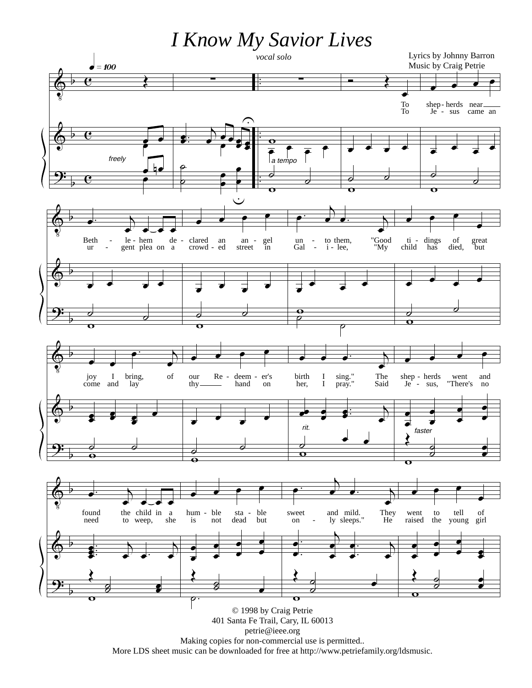*I Know My Savior Lives*



Making copies for non-commercial use is permitted.. More LDS sheet music can be downloaded for free at http://www.petriefamily.org/ldsmusic.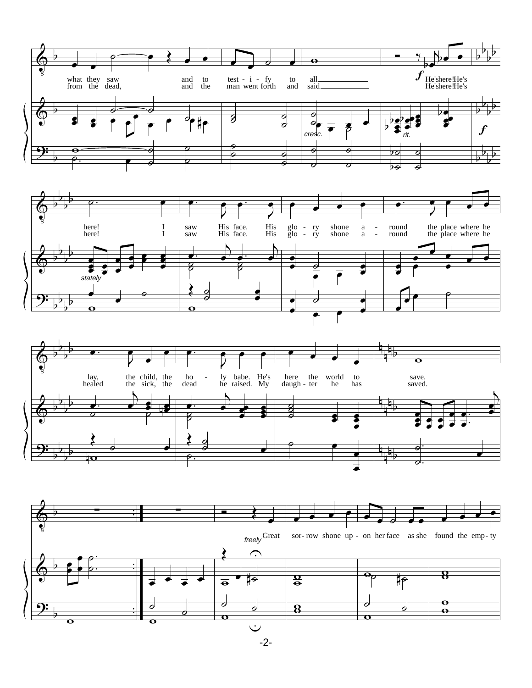







-2-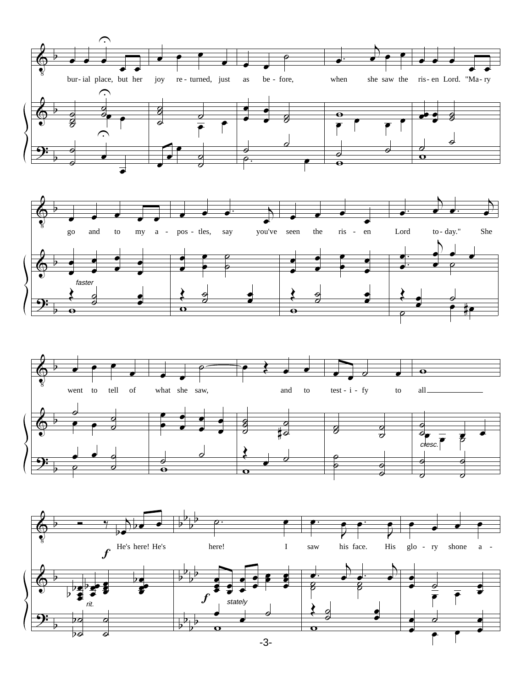